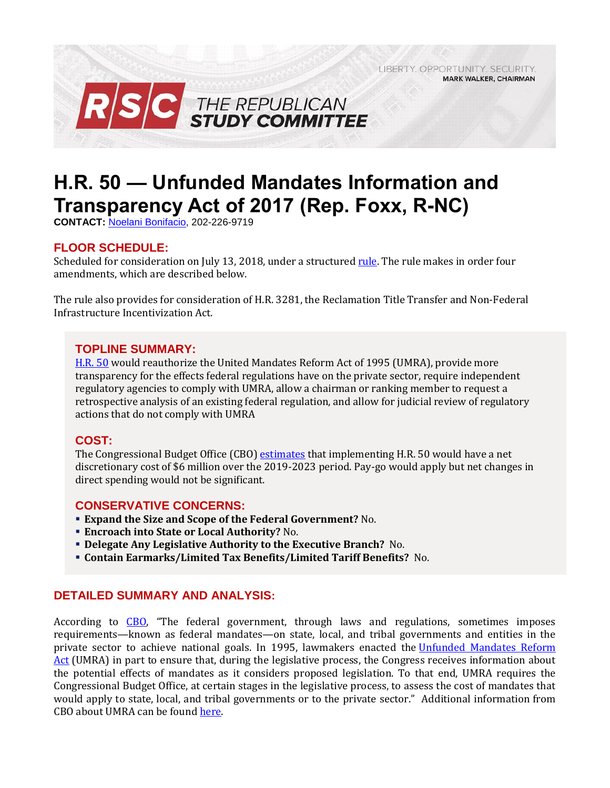LIBERTY. OPPORTUNITY. SECURITY. **MARK WALKER, CHAIRMAN** 



# **H.R. 50 — Unfunded Mandates Information and Transparency Act of 2017 (Rep. Foxx, R-NC)**

**CONTACT:** [Noelani Bonifacio,](mailto:Noelani.Bonifacio@mail.house.gov) 202-226-9719

## **FLOOR SCHEDULE:**

Scheduled for consideration on July 13, 2018, under a structured [rule.](https://rules.house.gov/siteshttps:/rules.house.gov/sites/republicans.rules.house.gov/files/Rule_HR50HR3281.pdfrepublicans.rules.house.gov/files/Rule_HR4HR3144.pdf) The rule makes in order four amendments, which are described below.

The rule also provides for consideration of H.R. 3281, the Reclamation Title Transfer and Non-Federal Infrastructure Incentivization Act.

#### **TOPLINE SUMMARY:**

[H.R. 50](https://www.gpo.gov/fdsys/pkg/BILLS-115hr50rh/pdf/BILLS-115hr50rh.pdf) would reauthorize the United Mandates Reform Act of 1995 (UMRA), provide more transparency for the effects federal regulations have on the private sector, require independent regulatory agencies to comply with UMRA, allow a chairman or ranking member to request a retrospective analysis of an existing federal regulation, and allow for judicial review of regulatory actions that do not comply with UMRA

#### **COST:**

The Congressional Budget Office (CBO) [estimates](https://www.cbo.gov/system/files/115th-congress-2017-2018/costestimate/hr50.pdf) that implementing H.R. 50 would have a net discretionary cost of \$6 million over the 2019-2023 period. Pay-go would apply but net changes in direct spending would not be significant.

#### **CONSERVATIVE CONCERNS:**

- **Expand the Size and Scope of the Federal Government?** No.
- **Encroach into State or Local Authority?** No.
- **Delegate Any Legislative Authority to the Executive Branch?** No.
- **Contain Earmarks/Limited Tax Benefits/Limited Tariff Benefits?** No.

#### **DETAILED SUMMARY AND ANALYSIS:**

According to [CBO](http://www.cbo.gov/publication/51335), "The federal government, through laws and regulations, sometimes imposes requirements—known as federal mandates—on state, local, and tribal governments and entities in the private sector to achieve national goals. In 1995, lawmakers enacted the [Unfunded Mandates Reform](https://www.gpo.gov/fdsys/pkg/PLAW-104publ4/pdf/PLAW-104publ4.pdf)  [Act](https://www.gpo.gov/fdsys/pkg/PLAW-104publ4/pdf/PLAW-104publ4.pdf) (UMRA) in part to ensure that, during the legislative process, the Congress receives information about the potential effects of mandates as it considers proposed legislation. To that end, UMRA requires the Congressional Budget Office, at certain stages in the legislative process, to assess the cost of mandates that would apply to state, local, and tribal governments or to the private sector." Additional information from CBO about UMRA can be foun[d here.](http://www.cbo.gov/topics/mandates)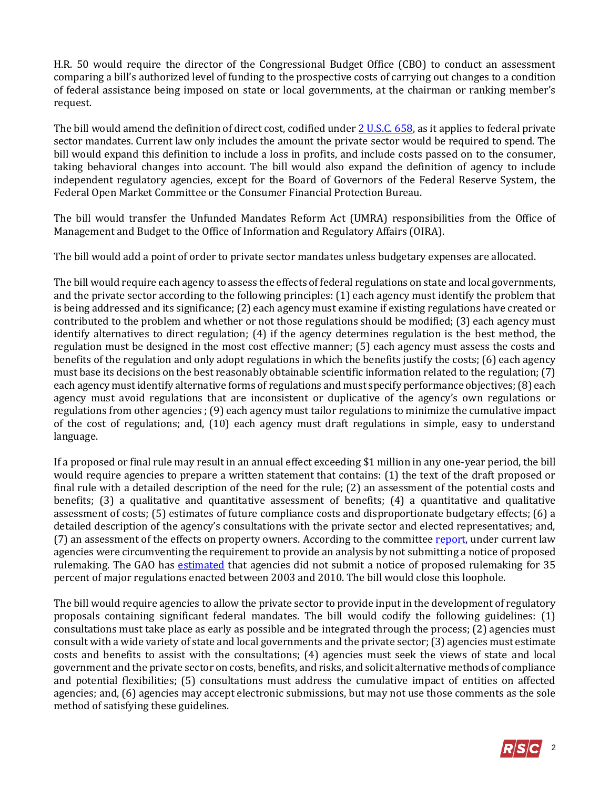H.R. 50 would require the director of the Congressional Budget Office (CBO) to conduct an assessment comparing a bill's authorized level of funding to the prospective costs of carrying out changes to a condition of federal assistance being imposed on state or local governments, at the chairman or ranking member's request.

The bill would amend the definition of direct cost, codified under [2 U.S.C. 658,](http://uscode.house.gov/view.xhtml?req=(title:2%20section:658%20edition:prelim)%20OR%20(granuleid:USC-prelim-title2-section658)&f=treesort&edition=prelim&num=0&jumpTo=true) as it applies to federal private sector mandates. Current law only includes the amount the private sector would be required to spend. The bill would expand this definition to include a loss in profits, and include costs passed on to the consumer, taking behavioral changes into account. The bill would also expand the definition of agency to include independent regulatory agencies, except for the Board of Governors of the Federal Reserve System, the Federal Open Market Committee or the Consumer Financial Protection Bureau.

The bill would transfer the Unfunded Mandates Reform Act (UMRA) responsibilities from the Office of Management and Budget to the Office of Information and Regulatory Affairs (OIRA).

The bill would add a point of order to private sector mandates unless budgetary expenses are allocated.

The bill would require each agency to assess the effects of federal regulations on state and local governments, and the private sector according to the following principles: (1) each agency must identify the problem that is being addressed and its significance; (2) each agency must examine if existing regulations have created or contributed to the problem and whether or not those regulations should be modified; (3) each agency must identify alternatives to direct regulation; (4) if the agency determines regulation is the best method, the regulation must be designed in the most cost effective manner; (5) each agency must assess the costs and benefits of the regulation and only adopt regulations in which the benefits justify the costs; (6) each agency must base its decisions on the best reasonably obtainable scientific information related to the regulation; (7) each agency must identify alternative forms of regulations and must specify performance objectives; (8) each agency must avoid regulations that are inconsistent or duplicative of the agency's own regulations or regulations from other agencies ; (9) each agency must tailor regulations to minimize the cumulative impact of the cost of regulations; and, (10) each agency must draft regulations in simple, easy to understand language.

If a proposed or final rule may result in an annual effect exceeding \$1 million in any one-year period, the bill would require agencies to prepare a written statement that contains: (1) the text of the draft proposed or final rule with a detailed description of the need for the rule; (2) an assessment of the potential costs and benefits; (3) a qualitative and quantitative assessment of benefits; (4) a quantitative and qualitative assessment of costs; (5) estimates of future compliance costs and disproportionate budgetary effects; (6) a detailed description of the agency's consultations with the private sector and elected representatives; and, (7) an assessment of the effects on property owners. According to the committee [report,](https://www.congress.gov/115/crpt/hrpt798/CRPT-115hrpt798-pt1.pdf) under current law agencies were circumventing the requirement to provide an analysis by not submitting a notice of proposed rulemaking. The GAO has [estimated](https://www.gao.gov/assets/660/651052.pdf) that agencies did not submit a notice of proposed rulemaking for 35 percent of major regulations enacted between 2003 and 2010. The bill would close this loophole.

The bill would require agencies to allow the private sector to provide input in the development of regulatory proposals containing significant federal mandates. The bill would codify the following guidelines: (1) consultations must take place as early as possible and be integrated through the process; (2) agencies must consult with a wide variety of state and local governments and the private sector; (3) agencies must estimate costs and benefits to assist with the consultations; (4) agencies must seek the views of state and local government and the private sector on costs, benefits, and risks, and solicit alternative methods of compliance and potential flexibilities; (5) consultations must address the cumulative impact of entities on affected agencies; and, (6) agencies may accept electronic submissions, but may not use those comments as the sole method of satisfying these guidelines.

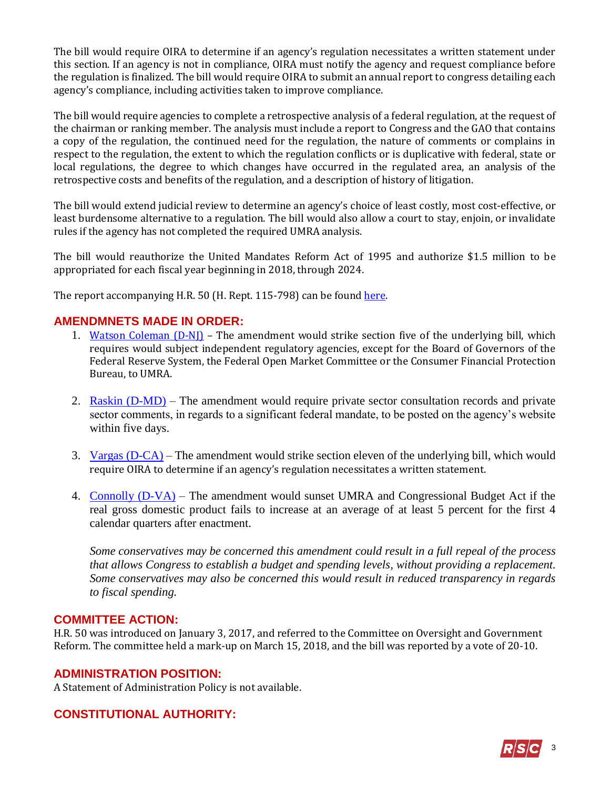The bill would require OIRA to determine if an agency's regulation necessitates a written statement under this section. If an agency is not in compliance, OIRA must notify the agency and request compliance before the regulation is finalized. The bill would require OIRA to submit an annual report to congress detailing each agency's compliance, including activities taken to improve compliance.

The bill would require agencies to complete a retrospective analysis of a federal regulation, at the request of the chairman or ranking member. The analysis must include a report to Congress and the GAO that contains a copy of the regulation, the continued need for the regulation, the nature of comments or complains in respect to the regulation, the extent to which the regulation conflicts or is duplicative with federal, state or local regulations, the degree to which changes have occurred in the regulated area, an analysis of the retrospective costs and benefits of the regulation, and a description of history of litigation.

The bill would extend judicial review to determine an agency's choice of least costly, most cost-effective, or least burdensome alternative to a regulation. The bill would also allow a court to stay, enjoin, or invalidate rules if the agency has not completed the required UMRA analysis.

The bill would reauthorize the United Mandates Reform Act of 1995 and authorize \$1.5 million to be appropriated for each fiscal year beginning in 2018, through 2024.

The report accompanying H.R. 50 (H. Rept. 115-798) can be foun[d here.](https://www.congress.gov/115/crpt/hrpt798/CRPT-115hrpt798-pt1.pdf)

### **AMENDMNETS MADE IN ORDER:**

- 1. [Watson Coleman](https://amendments-rules.house.gov/amendments/WATSNJ_087_xml7318101037103773181050505050.pdf) (D-NJ) The amendment would strike section five of the underlying bill, which requires would subject independent regulatory agencies, except for the Board of Governors of the Federal Reserve System, the Federal Open Market Committee or the Consumer Financial Protection Bureau, to UMRA.
- 2. [Raskin \(D-MD\)](https://amendments-rules.house.gov/amendments/RASKIN_063_xml%20(revised)710181352235223.pdf) The amendment would require private sector consultation records and private sector comments, in regards to a significant federal mandate, to be posted on the agency's website within five days.
- 3. [Vargas \(D-CA\)](https://amendments-rules.house.gov/amendments/VARGAS_035_xml79180936453645.pdf) The amendment would strike section eleven of the underlying bill, which would require OIRA to determine if an agency's regulation necessitates a written statement.
- 4. [Connolly \(D-VA\)](https://amendments-rules.house.gov/amendments/CONNOL_087_xml79181730133013.pdf) The amendment would sunset UMRA and Congressional Budget Act if the real gross domestic product fails to increase at an average of at least 5 percent for the first 4 calendar quarters after enactment.

*Some conservatives may be concerned this amendment could result in a full repeal of the process that allows Congress to establish a budget and spending levels, without providing a replacement. Some conservatives may also be concerned this would result in reduced transparency in regards to fiscal spending.*

#### **COMMITTEE ACTION:**

H.R. 50 was introduced on January 3, 2017, and referred to the Committee on Oversight and Government Reform. The committee held a mark-up on March 15, 2018, and the bill was reported by a vote of 20-10.

#### **ADMINISTRATION POSITION:**

A Statement of Administration Policy is not available.

## **CONSTITUTIONAL AUTHORITY:**